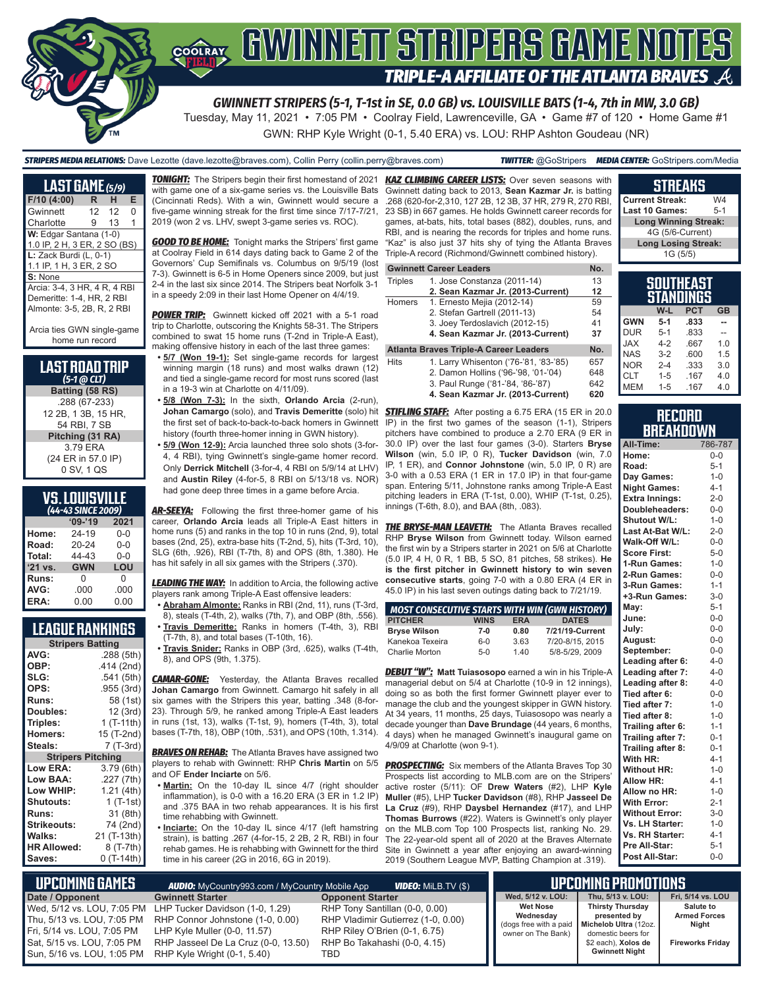

*GWINNETT STRIPERS (5-1, T-1st in SE, 0.0 GB) vs. LOUISVILLE BATS (1-4, 7th in MW, 3.0 GB)*

Tuesday, May 11, 2021 • 7:05 PM • Coolray Field, Lawrenceville, GA • Game #7 of 120 • Home Game #1 GWN: RHP Kyle Wright (0-1, 5.40 ERA) vs. LOU: RHP Ashton Goudeau (NR)

#### *STRIPERS MEDIA RELATIONS:* Dave Lezotte (dave.lezotte@braves.com), Collin Perry (collin.perry@braves.com) *TWITTER:* @GoStripers *MEDIA CENTER:* GoStripers.com/Media

| LAST GAME (5/9)                                                                                               |     |                 |   |
|---------------------------------------------------------------------------------------------------------------|-----|-----------------|---|
| F/10 (4:00)                                                                                                   | R.  | н.              | Е |
| Gwinnett                                                                                                      | 12. | 12 <sup>°</sup> | O |
| Charlotte                                                                                                     | 9   | 13              | 1 |
| W: Edgar Santana (1-0)<br>1.0 IP, 2 H, 3 ER, 2 SO (BS)<br>$L:$ Zack Burdi (L, 0-1)<br>1.1 IP, 1 H, 3 ER, 2 SO |     |                 |   |
| S: None<br>Arcia: 3-4, 3 HR, 4 R, 4 RBI<br>Demeritte: 1-4, HR, 2 RBI<br>Almonte: 3-5, 2B, R, 2 RBI            |     |                 |   |

Arcia ties GWN single-game home run record

| <b>LAST ROAD TRIP</b>         |
|-------------------------------|
| $(5-1)$ ( $\overline{0}$ CLT) |
| Batting (58 RS)               |
|                               |

.288 (67-233) 12 2B, 1 3B, 15 HR, 54 RBI, 7 SB **Pitching (31 RA)** 3.79 ERA (24 ER in 57.0 IP) 0 SV, 1 QS

### **VS. LOUISVILLE**

| (44-43 SINCE 2009) |            |         |  |  |  |  |  |
|--------------------|------------|---------|--|--|--|--|--|
|                    | $09 - 19$  | 2021    |  |  |  |  |  |
| Home:              | 24-19      | $0 - 0$ |  |  |  |  |  |
| Road:              | 20-24      | $0 - 0$ |  |  |  |  |  |
| Total:             | 44-43      | $0 - 0$ |  |  |  |  |  |
| $'21$ vs.          | <b>GWN</b> | LOU     |  |  |  |  |  |
| Runs:              | O          | 0       |  |  |  |  |  |
| AVG:               | .000       | .000    |  |  |  |  |  |
| ERA:               | 0.00       | 0.00    |  |  |  |  |  |

### **LEAGUE RANKINGS**

| <b>Stripers Batting</b>  |             |  |  |  |  |
|--------------------------|-------------|--|--|--|--|
| AVG:                     | .288 (5th)  |  |  |  |  |
| OBP:                     | .414 (2nd)  |  |  |  |  |
| SLG:                     | .541 (5th)  |  |  |  |  |
| OPS:                     | .955 (3rd)  |  |  |  |  |
| <b>Runs:</b>             | 58 (1st)    |  |  |  |  |
| Doubles:                 | 12 (3rd)    |  |  |  |  |
| Triples:                 | 1 (T-11th)  |  |  |  |  |
| <b>Homers:</b>           | 15 (T-2nd)  |  |  |  |  |
| Steals:                  | 7 (T-3rd)   |  |  |  |  |
| <b>Stripers Pitching</b> |             |  |  |  |  |
| <b>Low ERA:</b>          | 3.79 (6th)  |  |  |  |  |
| Low BAA:                 | .227 (7th)  |  |  |  |  |
| Low WHIP:                | 1.21 (4th)  |  |  |  |  |
| <b>Shutouts:</b>         | 1 $(T-1st)$ |  |  |  |  |
| <b>Runs:</b>             | 31 (8th)    |  |  |  |  |
| <b>Strikeouts:</b>       | 74 (2nd)    |  |  |  |  |
| Walks:                   | 21 (T-13th) |  |  |  |  |
| <b>HR Allowed:</b>       | 8 (T-7th)   |  |  |  |  |
| Saves:                   | 0 (T-14th)  |  |  |  |  |

*TONIGHT:* The Stripers begin their first homestand of 2021 *KAZ CLIMBING CAREER LISTS:* Over seven seasons with with game one of a six-game series vs. the Louisville Bats (Cincinnati Reds). With a win, Gwinnett would secure a .268 (620-for-2,310, 127 2B, 12 3B, 37 HR, 279 R, 270 RBI, five-game winning streak for the first time since 7/17-7/21, 2019 (won 2 vs. LHV, swept 3-game series vs. ROC).

**GOOD TO BE HOME:** Tonight marks the Stripers' first game at Coolray Field in 614 days dating back to Game 2 of the Governors' Cup Semifinals vs. Columbus on 9/5/19 (lost 7-3). Gwinnett is 6-5 in Home Openers since 2009, but just 2-4 in the last six since 2014. The Stripers beat Norfolk 3-1 in a speedy 2:09 in their last Home Opener on 4/4/19.

*POWER TRIP:* Gwinnett kicked off 2021 with a 5-1 road trip to Charlotte, outscoring the Knights 58-31. The Stripers combined to swat 15 home runs (T-2nd in Triple-A East), making offensive history in each of the last three games:

- **5/7 (Won 19-1):** Set single-game records for largest winning margin (18 runs) and most walks drawn (12) and tied a single-game record for most runs scored (last in a 19-3 win at Charlotte on 4/11/09).
- **• 5/8 (Won 7-3):** In the sixth, **Orlando Arcia** (2-run), the first set of back-to-back-to-back homers in Gwinnett history (fourth three-homer inning in GWN history).

**• 5/9 (Won 12-9):** Arcia launched three solo shots (3-for-4, 4 RBI), tying Gwinnett's single-game homer record. Only **Derrick Mitchell** (3-for-4, 4 RBI on 5/9/14 at LHV) and **Austin Riley** (4-for-5, 8 RBI on 5/13/18 vs. NOR) had gone deep three times in a game before Arcia.

**AR-SEEYA:** Following the first three-homer game of his career, **Orlando Arcia** leads all Triple-A East hitters in home runs (5) and ranks in the top 10 in runs (2nd, 9), total bases (2nd, 25), extra-base hits (T-2nd, 5), hits (T-3rd, 10), SLG (6th, .926), RBI (T-7th, 8) and OPS (8th, 1.380). He has hit safely in all six games with the Stripers (.370).

**LEADING THE WAY:** In addition to Arcia, the following active players rank among Triple-A East offensive leaders:

- **• Abraham Almonte:** Ranks in RBI (2nd, 11), runs (T-3rd, 8), steals (T-4th, 2), walks (7th, 7), and OBP (8th, .556). **• Travis Demeritte:** Ranks in homers (T-4th, 3), RBI
- (T-7th, 8), and total bases (T-10th, 16). **• Travis Snider:** Ranks in OBP (3rd, .625), walks (T-4th, 8), and OPS (9th, 1.375).

*CAMAR-GONE:* Yesterday, the Atlanta Braves recalled **Johan Camargo** from Gwinnett. Camargo hit safely in all six games with the Stripers this year, batting .348 (8-for-23). Through 5/9, he ranked among Triple-A East leaders in runs (1st, 13), walks (T-1st, 9), homers (T-4th, 3), total bases (T-7th, 18), OBP (10th, .531), and OPS (10th, 1.314).

*BRAVES ON REHAB:* The Atlanta Braves have assigned two players to rehab with Gwinnett: RHP **Chris Martin** on 5/5 and OF **Ender Inciarte** on 5/6.

- **• Martin:** On the 10-day IL since 4/7 (right shoulder inflammation), is 0-0 with a 16.20 ERA (3 ER in 1.2 IP) and .375 BAA in two rehab appearances. It is his first time rehabbing with Gwinnett.
- **• Inciarte:** On the 10-day IL since 4/17 (left hamstring strain), is batting .267 (4-for-15, 2 2B, 2 R, RBI) in four rehab games. He is rehabbing with Gwinnett for the third time in his career (2G in 2016, 6G in 2019).

Gwinnett dating back to 2013, **Sean Kazmar Jr.** is batting 23 SB) in 667 games. He holds Gwinnett career records for games, at-bats, hits, total bases (882), doubles, runs, and RBI, and is nearing the records for triples and home runs. "Kaz" is also just 37 hits shy of tying the Atlanta Braves Triple-A record (Richmond/Gwinnett combined history).

#### **Gwinnett Career Leaders No.** No.

| <b>Triples</b> | 1. Jose Constanza (2011-14)            | 13  |
|----------------|----------------------------------------|-----|
|                | 2. Sean Kazmar Jr. (2013-Current)      | 12  |
| Homers         | 1. Ernesto Mejia (2012-14)             | 59  |
|                | 2. Stefan Gartrell (2011-13)           | 54  |
|                | 3. Joey Terdoslavich (2012-15)         | 41  |
|                | 4. Sean Kazmar Jr. (2013-Current)      | 37  |
|                | Atlanta Braves Triple-A Career Leaders | No. |

1. Larry Whisenton ('76-'81, '83-'85) 657<br>2. Damon Hollins ('96-'98, '01-'04) 648 2. Damon Hollins ('96-'98, '01-'04) 648<br>3. Paul Runge ('81-'84, '86-'87) 642 3. Paul Runge ('81-'84, '86-'87)

**4. Sean Kazmar Jr. (2013-Current) 620**

**Johan Camargo** (solo), and **Travis Demeritte** (solo) hit *STIFLING STAFF:* After posting a 6.75 ERA (15 ER in 20.0 IP) in the first two games of the season (1-1), Stripers pitchers have combined to produce a 2.70 ERA (9 ER in 30.0 IP) over the last four games (3-0). Starters **Bryse Wilson** (win, 5.0 IP, 0 R), **Tucker Davidson** (win, 7.0 IP, 1 ER), and **Connor Johnstone** (win, 5.0 IP, 0 R) are 3-0 with a 0.53 ERA (1 ER in 17.0 IP) in that four-game span. Entering 5/11, Johnstone ranks among Triple-A East pitching leaders in ERA (T-1st, 0.00), WHIP (T-1st, 0.25), innings (T-6th, 8.0), and BAA (8th, .083).

> **THE BRYSE-MAN LEAVETH:** The Atlanta Braves recalled RHP **Bryse Wilson** from Gwinnett today. Wilson earned the first win by a Stripers starter in 2021 on 5/6 at Charlotte (5.0 IP, 4 H, 0 R, 1 BB, 5 SO, 81 pitches, 58 strikes). **He is the first pitcher in Gwinnett history to win seven consecutive starts**, going 7-0 with a 0.80 ERA (4 ER in 45.0 IP) in his last seven outings dating back to 7/21/19.

| MOST CONSECUTIVE STARTS WITH WIN (GWN HISTORY) |             |            |                 |
|------------------------------------------------|-------------|------------|-----------------|
| <b>PITCHER</b>                                 | <b>WINS</b> | <b>ERA</b> | <b>DATES</b>    |
| <b>Bryse Wilson</b>                            | $7-0$       | 0.80       | 7/21/19-Current |
| Kanekoa Texeira                                | $6 - 0$     | 3.63       | 7/20-8/15, 2015 |
| Charlie Morton                                 | $5-0$       | 1.40       | 5/8-5/29, 2009  |

*DEBUT "W":* **Matt Tuiasosopo** earned a win in his Triple-A managerial debut on 5/4 at Charlotte (10-9 in 12 innings), doing so as both the first former Gwinnett player ever to manage the club and the youngest skipper in GWN history. At 34 years, 11 months, 25 days, Tuiasosopo was nearly a decade younger than **Dave Brundage** (44 years, 6 months, 4 days) when he managed Gwinnett's inaugural game on 4/9/09 at Charlotte (won 9-1).

**PROSPECTING:** Six members of the Atlanta Braves Top 30 Prospects list according to MLB.com are on the Stripers' active roster (5/11): OF **Drew Waters** (#2), LHP **Kyle Muller** (#5), LHP **Tucker Davidson** (#8), RHP **Jasseel De La Cruz** (#9), RHP **Daysbel Hernandez** (#17), and LHP **Thomas Burrows** (#22). Waters is Gwinnett's only player on the MLB.com Top 100 Prospects list, ranking No. 29. The 22-year-old spent all of 2020 at the Braves Alternate Site in Gwinnett a year after enjoying an award-winning 2019 (Southern League MVP, Batting Champion at .319).

#### **STREAKS**

**Current Streak:** W4<br>Last 10 Games: 5-1 Last 10 Games: **Long Winning Streak:** 4G (5/6-Current) **Long Losing Streak:** 1G (5/5)

| SOUTHEAST<br>STANDINGS |         |            |           |  |  |  |
|------------------------|---------|------------|-----------|--|--|--|
|                        | W-L     | <b>PCT</b> | <b>GB</b> |  |  |  |
| <b>GWN</b>             | $5 - 1$ | .833       |           |  |  |  |
| <b>DUR</b>             | $5 - 1$ | .833       |           |  |  |  |
| <b>JAX</b>             | $4 - 2$ | .667       | 1.0       |  |  |  |
| <b>NAS</b>             | $3-2$   | .600       | 1.5       |  |  |  |
| <b>NOR</b>             | $2 - 4$ | .333       | 3.0       |  |  |  |
| <b>CLT</b>             | $1 - 5$ | .167       | 4.0       |  |  |  |
| <b>MEM</b>             | $1 - 5$ | .167       | 4.0       |  |  |  |

#### **RECORD RRFAKDOWN**

| All-Time:             | 786-787 |
|-----------------------|---------|
| Home:                 | $0 - 0$ |
| Road:                 | $5 - 1$ |
| Day Games:            | $1 - 0$ |
| <b>Night Games:</b>   | $4 - 1$ |
| <b>Extra Innings:</b> | $2 - 0$ |
| Doubleheaders:        | $0-0$   |
| <b>Shutout W/L:</b>   | $1 - 0$ |
| Last At-Bat W/L:      | $2 - 0$ |
| Walk-Off W/L:         | $0-0$   |
| <b>Score First:</b>   | $5 - 0$ |
| 1-Run Games:          | $1 - 0$ |
| 2-Run Games:          | $0 - 0$ |
| 3-Run Games:          | $1 - 1$ |
| +3-Run Games:         | $3-0$   |
| Mav:                  | $5 - 1$ |
| June:                 | $0-0$   |
| July:                 | $0 - 0$ |
| August:               | $0-0$   |
| September:            | $0 - 0$ |
| Leading after 6:      | $4 - 0$ |
| Leading after 7:      | $4 - 0$ |
| Leading after 8:      | $4 - 0$ |
| Tied after 6:         | $0-0$   |
| Tied after 7:         | $1 - 0$ |
| Tied after 8:         | $1 - 0$ |
| Trailing after 6:     | $1 - 1$ |
| Trailing after 7:     | $0 - 1$ |
| Trailing after 8:     | $0 - 1$ |
| With HR:              | $4 - 1$ |
| <b>Without HR:</b>    | $1 - 0$ |
| <b>Allow HR:</b>      | $4 - 1$ |
| Allow no HR:          | $1 - 0$ |
| <b>With Error:</b>    | $2 - 1$ |
| <b>Without Error:</b> | $3-0$   |
| Vs. LH Starter:       | $1 - 0$ |
| Vs. RH Starter:       | $4 - 1$ |
| Pre All-Star:         | $5 - 1$ |
| Post All-Star:        | $0-0$   |

| L UPCOMING GAMES I         | <b>AUDIO:</b> MyCountry993.com / MyCountry Mobile App      | <b>VIDEO:</b> MiLB.TV (\$)         |                    | UPCOMING PROMOTIONS                                            |                                  |
|----------------------------|------------------------------------------------------------|------------------------------------|--------------------|----------------------------------------------------------------|----------------------------------|
| Date / Opponent            | <b>Gwinnett Starter</b>                                    | <b>Opponent Starter</b>            | Wed. 5/12 v. LOU:  | Thu. 5/13 v. LOU:                                              | Fri. 5/14 vs. LOU                |
|                            | Wed, 5/12 vs. LOU, 7:05 PM LHP Tucker Davidson (1-0, 1.29) | RHP Tony Santillan (0-0, 0.00)     | <b>Wet Nose</b>    | <b>Thirsty Thursday</b>                                        | Salute to<br><b>Armed Forces</b> |
| Thu, 5/13 vs. LOU, 7:05 PM | RHP Connor Johnstone (1-0, 0.00)                           | RHP Vladimir Gutierrez (1-0, 0.00) | Wednesday          | presented by<br>(dogs free with a paid   Michelob Ultra (12oz. | Night                            |
| Fri, 5/14 vs. LOU, 7:05 PM | LHP Kyle Muller (0-0, 11.57)                               | RHP Riley O'Brien (0-1, 6.75)      | owner on The Bank) | domestic beers for                                             |                                  |
| Sat, 5/15 vs. LOU, 7:05 PM | RHP Jasseel De La Cruz (0-0, 13.50)                        | RHP Bo Takahashi (0-0, 4.15)       |                    | \$2 each), Xolos de                                            | <b>Fireworks Friday</b>          |
| Sun, 5/16 vs. LOU, 1:05 PM | RHP Kyle Wright (0-1, 5.40)                                | TBD                                |                    | <b>Gwinnett Night</b>                                          |                                  |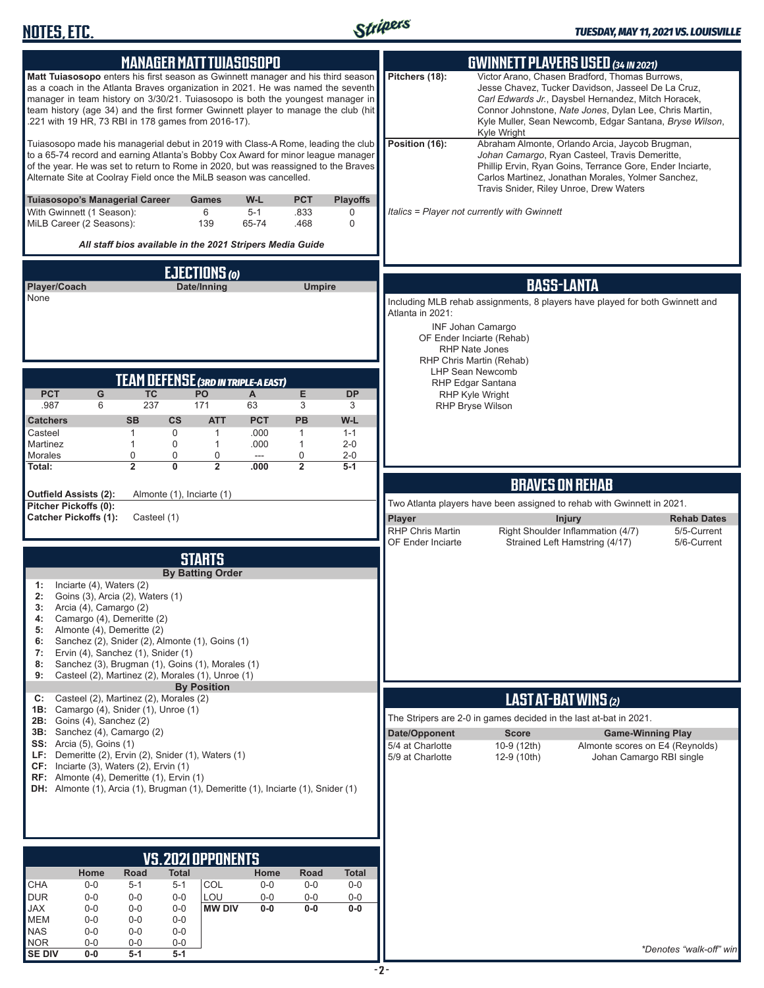

| <b>MANAGER MATT TUIASOSOPO</b>                                                                                                                                                                                                                                                                                                                                                                                                                                                                                                                                    | <b>GWINNETT PLAYERS USED (34 IN 2021)</b>                                                                                                                                                                                                                                                                         |
|-------------------------------------------------------------------------------------------------------------------------------------------------------------------------------------------------------------------------------------------------------------------------------------------------------------------------------------------------------------------------------------------------------------------------------------------------------------------------------------------------------------------------------------------------------------------|-------------------------------------------------------------------------------------------------------------------------------------------------------------------------------------------------------------------------------------------------------------------------------------------------------------------|
| Matt Tuiasosopo enters his first season as Gwinnett manager and his third season<br>as a coach in the Atlanta Braves organization in 2021. He was named the seventh<br>manager in team history on 3/30/21. Tuiasosopo is both the youngest manager in<br>team history (age 34) and the first former Gwinnett player to manage the club (hit<br>.221 with 19 HR, 73 RBI in 178 games from 2016-17).                                                                                                                                                                | Victor Arano, Chasen Bradford, Thomas Burrows,<br>Pitchers (18):<br>Jesse Chavez, Tucker Davidson, Jasseel De La Cruz,<br>Carl Edwards Jr., Daysbel Hernandez, Mitch Horacek,<br>Connor Johnstone, Nate Jones, Dylan Lee, Chris Martin,<br>Kyle Muller, Sean Newcomb, Edgar Santana, Bryse Wilson,<br>Kyle Wright |
| Tuiasosopo made his managerial debut in 2019 with Class-A Rome, leading the club<br>to a 65-74 record and earning Atlanta's Bobby Cox Award for minor league manager<br>of the year. He was set to return to Rome in 2020, but was reassigned to the Braves<br>Alternate Site at Coolray Field once the MiLB season was cancelled.                                                                                                                                                                                                                                | Position (16):<br>Abraham Almonte, Orlando Arcia, Jaycob Brugman,<br>Johan Camargo, Ryan Casteel, Travis Demeritte,<br>Phillip Ervin, Ryan Goins, Terrance Gore, Ender Inciarte,<br>Carlos Martinez, Jonathan Morales, Yolmer Sanchez,<br>Travis Snider, Riley Unroe, Drew Waters                                 |
| <b>PCT</b><br>Tuiasosopo's Managerial Career<br>W-L<br><b>Playoffs</b><br>Games<br>6<br>$5 - 1$<br>.833<br>With Gwinnett (1 Season):<br>0<br>MiLB Career (2 Seasons):<br>139<br>65-74<br>.468<br>0<br>All staff bios available in the 2021 Stripers Media Guide                                                                                                                                                                                                                                                                                                   | Italics = Player not currently with Gwinnett                                                                                                                                                                                                                                                                      |
|                                                                                                                                                                                                                                                                                                                                                                                                                                                                                                                                                                   |                                                                                                                                                                                                                                                                                                                   |
| <b>EJECTIONS (0)</b><br>Player/Coach<br>Date/Inning<br><b>Umpire</b><br>None                                                                                                                                                                                                                                                                                                                                                                                                                                                                                      | <b>BASS-LANTA</b><br>Including MLB rehab assignments, 8 players have played for both Gwinnett and<br>Atlanta in 2021:<br><b>INF Johan Camargo</b><br>OF Ender Inciarte (Rehab)<br><b>RHP Nate Jones</b><br>RHP Chris Martin (Rehab)                                                                               |
| <b>TEAM DEFENSE (3RD IN TRIPLE-A EAST)</b><br><b>PCT</b><br>E<br>G<br><b>TC</b><br><b>PO</b><br>A<br><b>DP</b><br>237<br>.987<br>171<br>3<br>6<br>63<br>3<br>PB<br><b>ATT</b><br><b>PCT</b><br>W-L<br><b>Catchers</b><br><b>SB</b><br>$\mathsf{cs}$<br>Casteel<br>$\mathbf{1}$<br>0<br>$\mathbf{1}$<br>.000<br>$\mathbf{1}$<br>$1 - 1$<br>Martinez<br>$\mathbf{1}$<br>0<br>1<br>.000<br>$\mathbf{1}$<br>$2 - 0$<br>Morales<br>0<br>0<br>0<br>0<br>$2 - 0$<br>---<br>$\overline{2}$<br>$\mathbf{0}$<br>$\overline{2}$<br>Total:<br>.000<br>$\overline{2}$<br>$5-1$ | <b>LHP Sean Newcomb</b><br>RHP Edgar Santana<br><b>RHP Kyle Wright</b><br><b>RHP Bryse Wilson</b>                                                                                                                                                                                                                 |
| Outfield Assists (2):<br>Almonte (1), Inciarte (1)                                                                                                                                                                                                                                                                                                                                                                                                                                                                                                                | <b>BRAVES ON REHAB</b>                                                                                                                                                                                                                                                                                            |
| <b>Pitcher Pickoffs (0):</b><br><b>Catcher Pickoffs (1):</b><br>Casteel (1)                                                                                                                                                                                                                                                                                                                                                                                                                                                                                       | Two Atlanta players have been assigned to rehab with Gwinnett in 2021.<br>Player<br><b>Rehab Dates</b><br><b>Injury</b><br><b>RHP Chris Martin</b><br>Right Shoulder Inflammation (4/7)<br>5/5-Current<br>Strained Left Hamstring (4/17)<br>5/6-Current<br>OF Ender Inciarte                                      |
| <b>STARTS</b>                                                                                                                                                                                                                                                                                                                                                                                                                                                                                                                                                     |                                                                                                                                                                                                                                                                                                                   |
| <b>By Batting Order</b><br>Inciarte (4), Waters (2)<br>1:<br>2:<br>Goins (3), Arcia (2), Waters (1)<br>3:<br>Arcia (4), Camargo (2)<br>Camargo (4), Demeritte (2)<br>4:<br>Almonte (4), Demeritte (2)<br>5:<br>Sanchez (2), Snider (2), Almonte (1), Goins (1)<br>6:<br>7:<br>Ervin (4), Sanchez (1), Snider (1)<br>Sanchez (3), Brugman (1), Goins (1), Morales (1)<br>8:<br>Casteel (2), Martinez (2), Morales (1), Unroe (1)<br>9:<br><b>By Position</b>                                                                                                       |                                                                                                                                                                                                                                                                                                                   |
| Casteel (2), Martinez (2), Morales (2)<br>C:                                                                                                                                                                                                                                                                                                                                                                                                                                                                                                                      | <b>LAST AT-BAT WINS (2)</b>                                                                                                                                                                                                                                                                                       |
| Camargo (4), Snider (1), Unroe (1)<br>1B:<br>2B: Goins $(4)$ , Sanchez $(2)$                                                                                                                                                                                                                                                                                                                                                                                                                                                                                      | The Stripers are 2-0 in games decided in the last at-bat in 2021.                                                                                                                                                                                                                                                 |
| 3B: Sanchez (4), Camargo (2)<br><b>SS:</b> Arcia (5), Goins (1)<br>LF: Demeritte (2), Ervin (2), Snider (1), Waters (1)<br>$CF:$ Inciarte (3), Waters (2), Ervin (1)<br><b>RF:</b> Almonte (4), Demeritte (1), Ervin (1)<br>DH: Almonte (1), Arcia (1), Brugman (1), Demeritte (1), Inciarte (1), Snider (1)                                                                                                                                                                                                                                                      | Date/Opponent<br><b>Score</b><br><b>Game-Winning Play</b><br>5/4 at Charlotte<br>10-9 (12th)<br>Almonte scores on E4 (Reynolds)<br>5/9 at Charlotte<br>Johan Camargo RBI single<br>12-9 (10th)                                                                                                                    |
|                                                                                                                                                                                                                                                                                                                                                                                                                                                                                                                                                                   |                                                                                                                                                                                                                                                                                                                   |
| <b>VS.2021 OPPONENTS</b>                                                                                                                                                                                                                                                                                                                                                                                                                                                                                                                                          |                                                                                                                                                                                                                                                                                                                   |
| Home<br>Road<br>Total<br>Road<br><b>Total</b><br>Home<br><b>CHA</b><br>COL<br>$0-0$<br>$5 - 1$<br>$5 - 1$<br>$0-0$<br>$0-0$<br>$0-0$                                                                                                                                                                                                                                                                                                                                                                                                                              |                                                                                                                                                                                                                                                                                                                   |
| <b>DUR</b><br>$0-0$<br>LOU<br>$0-0$<br>$0-0$<br>$0-0$<br>$0-0$<br>$0-0$<br><b>MW DIV</b><br>$0-0$<br>$0-0$<br>$0-0$<br>JAX<br>$0-0$<br>$0-0$<br>$0-0$<br>MEM<br>$0 - 0$<br>$0-0$<br>$0-0$<br><b>NAS</b><br>$0-0$<br>$0-0$<br>$0-0$                                                                                                                                                                                                                                                                                                                                |                                                                                                                                                                                                                                                                                                                   |
| <b>NOR</b><br>$0-0$<br>$0-0$<br>$0-0$<br><b>SE DIV</b><br>$0-0$<br>$5-1$<br>$5-1$                                                                                                                                                                                                                                                                                                                                                                                                                                                                                 | *Denotes "walk-off" win                                                                                                                                                                                                                                                                                           |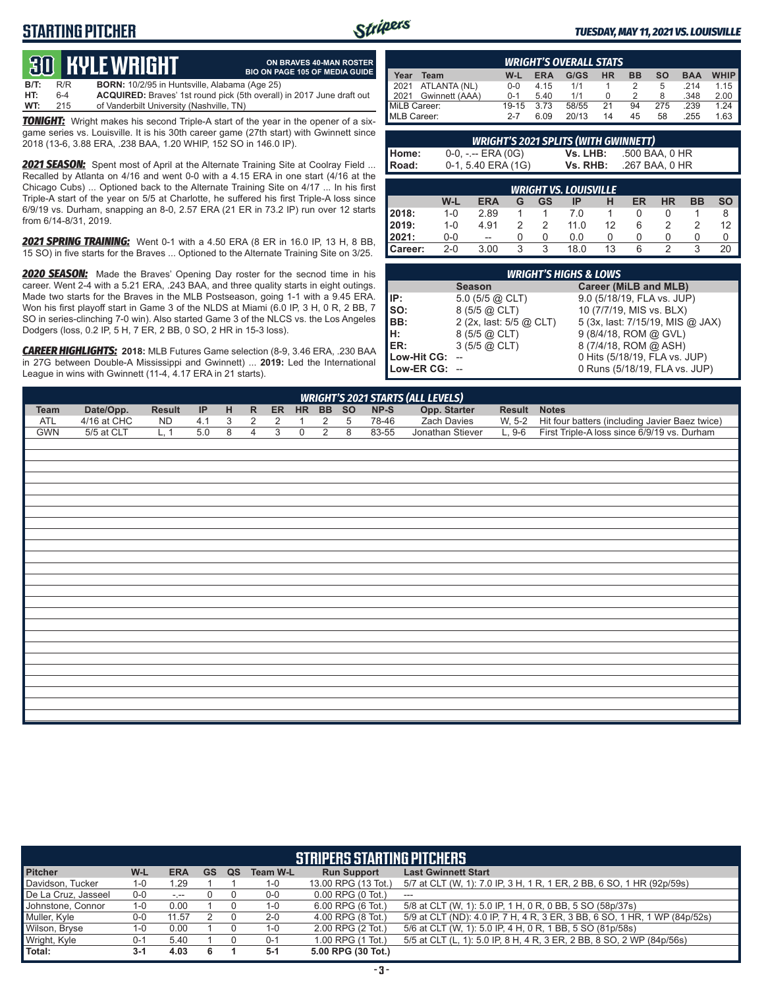### **STARTING PITCHER**



**ON BRAVES 40-MAN ROSTER BIO ON PAGE 105 OF MEDIA GUIDE**

#### *TUESDAY, MAY 11, 2021 VS. LOUISVILLE*

# **30****KYLE WRIGHT**

**B/T:** R/R **BORN:** 10/2/95 in Huntsville, Alabama (Age 25) 6-4 **ACQUIRED:** Braves' 1st round pick (5th overall) in 2017 June draft out 215 of Vanderbilt University (Nashville, TN) **WT:** 215 of Vanderbilt University (Nashville, TN)

*TONIGHT:* Wright makes his second Triple-A start of the year in the opener of a sixgame series vs. Louisville. It is his 30th career game (27th start) with Gwinnett since 2018 (13-6, 3.88 ERA, .238 BAA, 1.20 WHIP, 152 SO in 146.0 IP).

*2021 SEASON:* Spent most of April at the Alternate Training Site at Coolray Field ... Recalled by Atlanta on 4/16 and went 0-0 with a 4.15 ERA in one start (4/16 at the Chicago Cubs) ... Optioned back to the Alternate Training Site on 4/17 ... In his first Triple-A start of the year on 5/5 at Charlotte, he suffered his first Triple-A loss since 6/9/19 vs. Durham, snapping an 8-0, 2.57 ERA (21 ER in 73.2 IP) run over 12 starts from 6/14-8/31, 2019.

*2021 SPRING TRAINING:* Went 0-1 with a 4.50 ERA (8 ER in 16.0 IP, 13 H, 8 BB, 15 SO) in five starts for the Braves ... Optioned to the Alternate Training Site on 3/25.

*2020 SEASON:* Made the Braves' Opening Day roster for the secnod time in his career. Went 2-4 with a 5.21 ERA, .243 BAA, and three quality starts in eight outings. Made two starts for the Braves in the MLB Postseason, going 1-1 with a 9.45 ERA. Won his first playoff start in Game 3 of the NLDS at Miami (6.0 IP, 3 H, 0 R, 2 BB, 7 SO in series-clinching 7-0 win). Also started Game 3 of the NLCS vs. the Los Angeles Dodgers (loss, 0.2 IP, 5 H, 7 ER, 2 BB, 0 SO, 2 HR in 15-3 loss).

*CAREER HIGHLIGHTS:* **2018:** MLB Futures Game selection (8-9, 3.46 ERA, .230 BAA in 27G between Double-A Mississippi and Gwinnett) ... **2019:** Led the International League in wins with Gwinnett (11-4, 4.17 ERA in 21 starts).

| <b>WRIGHT'S OVERALL STATS</b> |         |            |       |    |    |           |            |             |
|-------------------------------|---------|------------|-------|----|----|-----------|------------|-------------|
| Year<br>Team                  | W-L     | <b>ERA</b> | G/GS  | HR | ВB | <b>SO</b> | <b>BAA</b> | <b>WHIP</b> |
| 2021 ATLANTA (NL)             | $0 - 0$ | 4.15       | 1/1   |    |    | 5         | 214        | 1.15        |
| Gwinnett (AAA)<br>2021        | $0 - 1$ | 5.40       | 1/1   |    |    | 8         | .348       | 2.00        |
| MiLB Career:                  | 19-15   | 3.73       | 58/55 | 21 | 94 | 275       | .239       | 1.24        |
| MLB Career:                   | $2 - 7$ | 6.09       | 20/13 | 14 | 45 | 58        | 255        | 1.63        |

| <b>WRIGHT'S 2021 SPLITS (WITH GWINNETT)</b> |                    |          |                |  |  |
|---------------------------------------------|--------------------|----------|----------------|--|--|
|                                             | 0-0, -.-- ERA (0G) | Vs. LHB: | .500 BAA, 0 HR |  |  |
| Home:<br>Road:                              | 0-1, 5.40 ERA (1G) | Vs. RHB: | .267 BAA. 0 HR |  |  |
|                                             |                    |          |                |  |  |

|                  |         |                          |   |    | <b>WRIGHT VS. LOUISVILLE</b> |    |    |           |           |           |
|------------------|---------|--------------------------|---|----|------------------------------|----|----|-----------|-----------|-----------|
|                  | W-L     | <b>ERA</b>               | G | GS | IP                           | н  | ER | <b>HR</b> | <b>BB</b> | <b>SO</b> |
| 2018:            | $1 - 0$ | 2.89                     |   |    | 7.0                          |    |    |           |           | 8         |
| <b>2019:</b>     | $1 - 0$ | 4.91                     |   |    | 11 O                         | 12 | 6  |           |           | 12        |
| l 2021:          | $0-0$   | $\overline{\phantom{a}}$ |   |    | 0.0                          |    |    |           |           |           |
| <b>I</b> Career: | $2 - 0$ | 3.00                     | ર | 3  | 18.0                         | 13 | 6  |           | 3         | 20        |

|               | <b>WRIGHT'S HIGHS &amp; LOWS</b> |                                  |
|---------------|----------------------------------|----------------------------------|
|               | <b>Season</b>                    | <b>Career (MiLB and MLB)</b>     |
| l IP:         | $5.0$ (5/5 @ CLT)                | 9.0 (5/18/19, FLA vs. JUP)       |
| Iso:          | 8 (5/5 @ CLT)                    | 10 (7/7/19, MIS vs. BLX)         |
| BB:           | 2 (2x, last: 5/5 @ CLT)          | 5 (3x, last: 7/15/19, MIS @ JAX) |
| IH:I          | 8 (5/5 @ CLT)                    | 9 (8/4/18, ROM @ GVL)            |
| IER:          | $3(5/5)$ @ CLT)                  | 8 (7/4/18, ROM @ ASH)            |
| Low-Hit CG:   |                                  | 0 Hits (5/18/19, FLA vs. JUP)    |
| Low-ER CG: -- |                                  | 0 Runs (5/18/19, FLA vs. JUP)    |

|            |               |               |           |   |    |    |           |       |       | <b>WRIGHT'S 2021 STARTS (ALL LEVELS)</b> |               |                                                |
|------------|---------------|---------------|-----------|---|----|----|-----------|-------|-------|------------------------------------------|---------------|------------------------------------------------|
| Team       | Date/Opp.     | <b>Result</b> | <b>IP</b> | H | R. | ER | <b>HR</b> | BB SO | NP-S  | Opp. Starter                             | <b>Result</b> | <b>Notes</b>                                   |
| <b>ATL</b> | $4/16$ at CHC | <b>ND</b>     | 41        |   |    |    |           |       | 78-46 | <b>Zach Davies</b>                       | W. 5-2        | Hit four batters (including Javier Baez twice) |
| GWN        | 5/5 at CLT    |               | 5.0       |   |    |    |           |       | 83-55 | Jonathan Stiever                         | 9-6           | First Triple-A loss since 6/9/19 vs. Durham    |
|            |               |               |           |   |    |    |           |       |       |                                          |               |                                                |

|                     |         |            |           |    |                 | <b>STRIPERS STARTING PITCHERS</b> |                                                                           |
|---------------------|---------|------------|-----------|----|-----------------|-----------------------------------|---------------------------------------------------------------------------|
| <b>Pitcher</b>      | W-L     | <b>ERA</b> | <b>GS</b> | QS | <b>Team W-L</b> | <b>Run Support</b>                | <b>Last Gwinnett Start</b>                                                |
| Davidson, Tucker    | $1 - 0$ | 1.29       |           |    | 1-0             | 13.00 RPG (13 Tot.)               | 5/7 at CLT (W, 1): 7.0 IP, 3 H, 1 R, 1 ER, 2 BB, 6 SO, 1 HR (92p/59s)     |
| De La Cruz, Jasseel | $0 - 0$ | $-1 - 1$   |           |    | 0-0             | $0.00$ RPG $(0$ Tot.)             | $---$                                                                     |
| Johnstone, Connor   | $1 - 0$ | 0.00       |           |    | 1-0             | $6.00$ RPG $(6$ Tot.)             | 5/8 at CLT (W, 1): 5.0 IP, 1 H, 0 R, 0 BB, 5 SO (58p/37s)                 |
| Muller, Kyle        | $0-0$   | 11.57      |           |    | $2 - 0$         | 4.00 RPG (8 Tot.)                 | 5/9 at CLT (ND): 4.0 IP, 7 H, 4 R, 3 ER, 3 BB, 6 SO, 1 HR, 1 WP (84p/52s) |
| Wilson, Bryse       | $1 - 0$ | 0.00       |           |    | 1-0             | 2.00 RPG (2 Tot.)                 | 5/6 at CLT (W, 1): 5.0 IP, 4 H, 0 R, 1 BB, 5 SO (81p/58s)                 |
| Wright, Kyle        | $0 - 1$ | 5.40       |           |    | $0 - 1$         | 1.00 RPG (1 Tot.)                 | 5/5 at CLT (L, 1): 5.0 IP, 8 H, 4 R, 3 ER, 2 BB, 8 SO, 2 WP (84p/56s)     |
| Total:              | $3 - 1$ | 4.03       | 6         |    | $5-1$           | 5.00 RPG (30 Tot.)                |                                                                           |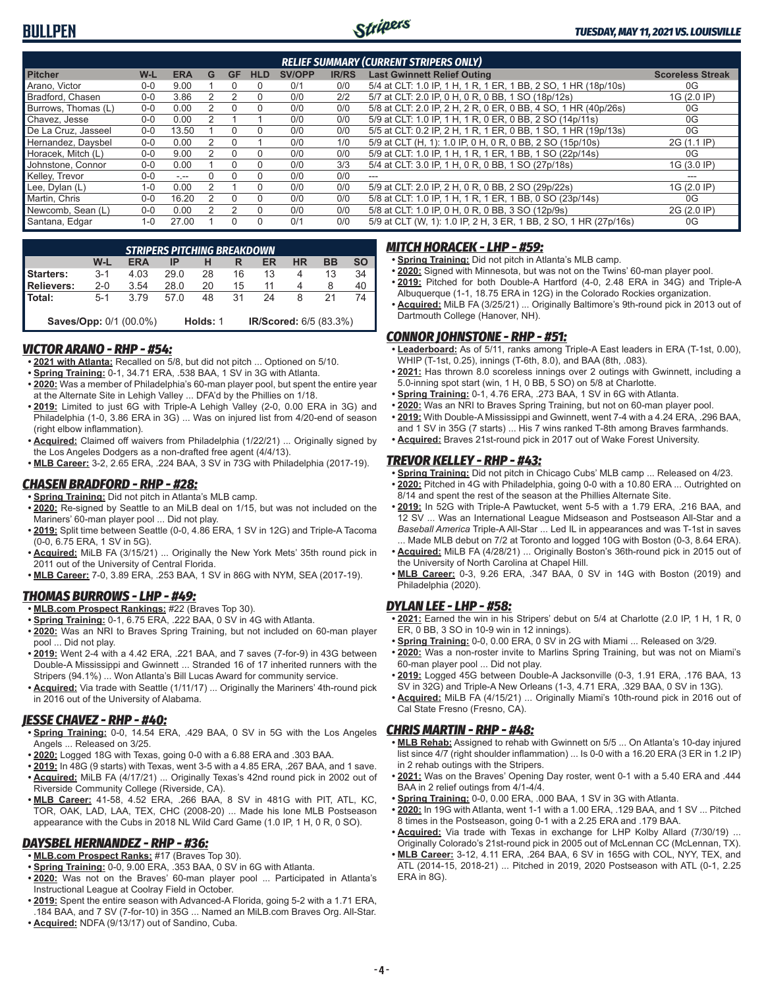

|                     |         |               |   |    |            |               |              | <b>RELIEF SUMMARY (CURRENT STRIPERS ONLY)</b>                    |                         |
|---------------------|---------|---------------|---|----|------------|---------------|--------------|------------------------------------------------------------------|-------------------------|
| <b>Pitcher</b>      | W-L     | <b>ERA</b>    | G | GF | <b>HLD</b> | <b>SV/OPP</b> | <b>IR/RS</b> | <b>Last Gwinnett Relief Outing</b>                               | <b>Scoreless Streak</b> |
| Arano, Victor       | 0-0     | 9.00          |   |    | $\Omega$   | 0/1           | 0/0          | 5/4 at CLT: 1.0 IP, 1 H, 1 R, 1 ER, 1 BB, 2 SO, 1 HR (18p/10s)   | 0G                      |
| Bradford, Chasen    | $0 - 0$ | 3.86          |   |    | 0          | 0/0           | 2/2          | 5/7 at CLT: 2.0 IP, 0 H, 0 R, 0 BB, 1 SO (18p/12s)               | 1G (2.0 IP)             |
| Burrows, Thomas (L) | $0 - 0$ | 0.00          |   |    | $\Omega$   | 0/0           | 0/0          | 5/8 at CLT: 2.0 IP, 2 H, 2 R, 0 ER, 0 BB, 4 SO, 1 HR (40p/26s)   | 0G                      |
| Chavez, Jesse       | $0 - 0$ | 0.00          |   |    |            | 0/0           | 0/0          | 5/9 at CLT: 1.0 IP, 1 H, 1 R, 0 ER, 0 BB, 2 SO (14p/11s)         | 0G                      |
| De La Cruz, Jasseel | $0 - 0$ | 13.50         |   |    | 0          | 0/0           | 0/0          | 5/5 at CLT: 0.2 IP, 2 H, 1 R, 1 ER, 0 BB, 1 SO, 1 HR (19p/13s)   | 0G                      |
| Hernandez, Daysbel  | $0 - 0$ | 0.00          |   |    |            | 0/0           | 1/0          | 5/9 at CLT (H, 1): 1.0 IP, 0 H, 0 R, 0 BB, 2 SO (15p/10s)        | 2G (1.1 IP)             |
| Horacek, Mitch (L)  | $0-0$   | 9.00          |   |    | $\Omega$   | 0/0           | 0/0          | 5/9 at CLT: 1.0 IP, 1 H, 1 R, 1 ER, 1 BB, 1 SO (22p/14s)         | 0G                      |
| Johnstone, Connor   | $0 - 0$ | 0.00          |   |    | 0          | 0/0           | 3/3          | 5/4 at CLT: 3.0 IP, 1 H, 0 R, 0 BB, 1 SO (27p/18s)               | 1G (3.0 IP)             |
| Kelley, Trevor      | $0 - 0$ | $\frac{1}{2}$ |   |    | $\Omega$   | 0/0           | 0/0          |                                                                  |                         |
| Lee, Dylan (L)      | $1 - 0$ | 0.00          |   |    | 0          | 0/0           | 0/0          | 5/9 at CLT: 2.0 IP, 2 H, 0 R, 0 BB, 2 SO (29p/22s)               | 1G (2.0 IP)             |
| Martin, Chris       | $0 - 0$ | 16.20         |   |    | 0          | 0/0           | 0/0          | 5/8 at CLT: 1.0 IP, 1 H, 1 R, 1 ER, 1 BB, 0 SO (23p/14s)         | 0G                      |
| Newcomb, Sean (L)   | 0-0     | 0.00          |   |    | $\Omega$   | 0/0           | 0/0          | 5/8 at CLT: 1.0 IP, 0 H, 0 R, 0 BB, 3 SO (12p/9s)                | 2G (2.0 IP)             |
| Santana, Edgar      | $1 - 0$ | 27.00         |   |    | $\Omega$   | 0/1           | 0/0          | 5/9 at CLT (W, 1): 1.0 IP, 2 H, 3 ER, 1 BB, 2 SO, 1 HR (27p/16s) | 0G                      |

|                        |         | <b>STRIPERS PITCHING BREAKDOWN</b> |      |          |    |                        |           |           |           |
|------------------------|---------|------------------------------------|------|----------|----|------------------------|-----------|-----------|-----------|
|                        | W-L     | <b>ERA</b>                         | IP   |          |    | ER                     | <b>HR</b> | <b>BB</b> | <b>SO</b> |
| Starters:              | $3-1$   | 4.03                               | 29.0 | 28       | 16 | 13                     | 4         | 13        | 34        |
| Relievers:             | $2 - 0$ | 3.54                               | 28.0 | 20       | 15 |                        |           |           | 40        |
| l Total:               | $5-1$   | 3.79                               | 570  | 48       | 31 | 24                     | 8         | 21        |           |
| Saves/Opp: 0/1 (00.0%) |         |                                    |      | Holds: 1 |    | IR/Scored: 6/5 (83.3%) |           |           |           |

#### *VICTOR ARANO - RHP - #54:*

- **• 2021 with Atlanta:** Recalled on 5/8, but did not pitch ... Optioned on 5/10.
- **• Spring Training:** 0-1, 34.71 ERA, .538 BAA, 1 SV in 3G with Atlanta.
- **• 2020:** Was a member of Philadelphia's 60-man player pool, but spent the entire year at the Alternate Site in Lehigh Valley ... DFA'd by the Phillies on 1/18.
- **• 2019:** Limited to just 6G with Triple-A Lehigh Valley (2-0, 0.00 ERA in 3G) and Philadelphia (1-0, 3.86 ERA in 3G) ... Was on injured list from 4/20-end of season (right elbow inflammation).
- **• Acquired:** Claimed off waivers from Philadelphia (1/22/21) ... Originally signed by the Los Angeles Dodgers as a non-drafted free agent (4/4/13).
- **• MLB Career:** 3-2, 2.65 ERA, .224 BAA, 3 SV in 73G with Philadelphia (2017-19).

#### *CHASEN BRADFORD - RHP - #28:*

- **• Spring Training:** Did not pitch in Atlanta's MLB camp.
- **• 2020:** Re-signed by Seattle to an MiLB deal on 1/15, but was not included on the Mariners' 60-man player pool ... Did not play.
- **• 2019:** Split time between Seattle (0-0, 4.86 ERA, 1 SV in 12G) and Triple-A Tacoma (0-0, 6.75 ERA, 1 SV in 5G).
- **• Acquired:** MiLB FA (3/15/21) ... Originally the New York Mets' 35th round pick in 2011 out of the University of Central Florida.
- **• MLB Career:** 7-0, 3.89 ERA, .253 BAA, 1 SV in 86G with NYM, SEA (2017-19).

#### *THOMAS BURROWS - LHP - #49:*

- **• MLB.com Prospect Rankings:** #22 (Braves Top 30).
- **• Spring Training:** 0-1, 6.75 ERA, .222 BAA, 0 SV in 4G with Atlanta.
- **• 2020:** Was an NRI to Braves Spring Training, but not included on 60-man player pool ... Did not play.
- **• 2019:** Went 2-4 with a 4.42 ERA, .221 BAA, and 7 saves (7-for-9) in 43G between Double-A Mississippi and Gwinnett ... Stranded 16 of 17 inherited runners with the Stripers (94.1%) ... Won Atlanta's Bill Lucas Award for community service.
- **• Acquired:** Via trade with Seattle (1/11/17) ... Originally the Mariners' 4th-round pick in 2016 out of the University of Alabama.

#### *JESSE CHAVEZ - RHP - #40:*

- **• Spring Training:** 0-0, 14.54 ERA, .429 BAA, 0 SV in 5G with the Los Angeles Angels ... Released on 3/25.
- **• 2020:** Logged 18G with Texas, going 0-0 with a 6.88 ERA and .303 BAA.
- **• 2019:** In 48G (9 starts) with Texas, went 3-5 with a 4.85 ERA, .267 BAA, and 1 save.
- **• Acquired:** MiLB FA (4/17/21) ... Originally Texas's 42nd round pick in 2002 out of Riverside Community College (Riverside, CA).
- **• MLB Career:** 41-58, 4.52 ERA, .266 BAA, 8 SV in 481G with PIT, ATL, KC, TOR, OAK, LAD, LAA, TEX, CHC (2008-20) ... Made his lone MLB Postseason appearance with the Cubs in 2018 NL Wild Card Game (1.0 IP, 1 H, 0 R, 0 SO).

#### *DAYSBEL HERNANDEZ - RHP - #36:*

- **• MLB.com Prospect Ranks:** #17 (Braves Top 30).
- **• Spring Training:** 0-0, 9.00 ERA, .353 BAA, 0 SV in 6G with Atlanta.
- **• 2020:** Was not on the Braves' 60-man player pool ... Participated in Atlanta's Instructional League at Coolray Field in October.
- **• 2019:** Spent the entire season with Advanced-A Florida, going 5-2 with a 1.71 ERA, .184 BAA, and 7 SV (7-for-10) in 35G ... Named an MiLB.com Braves Org. All-Star.
- **• Acquired:** NDFA (9/13/17) out of Sandino, Cuba.

#### *MITCH HORACEK - LHP - #59:*

- **• Spring Training:** Did not pitch in Atlanta's MLB camp.
- **• 2020:** Signed with Minnesota, but was not on the Twins' 60-man player pool.
- **• 2019:** Pitched for both Double-A Hartford (4-0, 2.48 ERA in 34G) and Triple-A Albuquerque (1-1, 18.75 ERA in 12G) in the Colorado Rockies organization.
- **• Acquired:** MiLB FA (3/25/21) ... Originally Baltimore's 9th-round pick in 2013 out of Dartmouth College (Hanover, NH).

### *CONNOR JOHNSTONE - RHP - #51:*

- **• Leaderboard:** As of 5/11, ranks among Triple-A East leaders in ERA (T-1st, 0.00), WHIP (T-1st, 0.25), innings (T-6th, 8.0), and BAA (8th, .083).
- **• 2021:** Has thrown 8.0 scoreless innings over 2 outings with Gwinnett, including a 5.0-inning spot start (win, 1 H, 0 BB, 5 SO) on 5/8 at Charlotte.
- **• Spring Training:** 0-1, 4.76 ERA, .273 BAA, 1 SV in 6G with Atlanta.
- **• 2020:** Was an NRI to Braves Spring Training, but not on 60-man player pool. **• 2019:** With Double-A Mississippi and Gwinnett, went 7-4 with a 4.24 ERA, .296 BAA,
- and 1 SV in 35G (7 starts) ... His 7 wins ranked T-8th among Braves farmhands. **• Acquired:** Braves 21st-round pick in 2017 out of Wake Forest University.

#### *TREVOR KELLEY - RHP - #43:*

- **• Spring Training:** Did not pitch in Chicago Cubs' MLB camp ... Released on 4/23.
- **• 2020:** Pitched in 4G with Philadelphia, going 0-0 with a 10.80 ERA ... Outrighted on 8/14 and spent the rest of the season at the Phillies Alternate Site.
- **• 2019:** In 52G with Triple-A Pawtucket, went 5-5 with a 1.79 ERA, .216 BAA, and 12 SV ... Was an International League Midseason and Postseason All-Star and a *Baseball America* Triple-A All-Star ... Led IL in appearances and was T-1st in saves ... Made MLB debut on 7/2 at Toronto and logged 10G with Boston (0-3, 8.64 ERA).
- **• Acquired:** MiLB FA (4/28/21) ... Originally Boston's 36th-round pick in 2015 out of the University of North Carolina at Chapel Hill.
- **• MLB Career:** 0-3, 9.26 ERA, .347 BAA, 0 SV in 14G with Boston (2019) and Philadelphia (2020).

#### *DYLAN LEE - LHP - #58:*

- **• 2021:** Earned the win in his Stripers' debut on 5/4 at Charlotte (2.0 IP, 1 H, 1 R, 0 ER, 0 BB, 3 SO in 10-9 win in 12 innings).
- **• Spring Training:** 0-0, 0.00 ERA, 0 SV in 2G with Miami ... Released on 3/29.
- **• 2020:** Was a non-roster invite to Marlins Spring Training, but was not on Miami's 60-man player pool ... Did not play.
- **• 2019:** Logged 45G between Double-A Jacksonville (0-3, 1.91 ERA, .176 BAA, 13 SV in 32G) and Triple-A New Orleans (1-3, 4.71 ERA, .329 BAA, 0 SV in 13G).
- **• Acquired:** MiLB FA (4/15/21) ... Originally Miami's 10th-round pick in 2016 out of Cal State Fresno (Fresno, CA).

#### *CHRIS MARTIN - RHP - #48:*

- **• MLB Rehab:** Assigned to rehab with Gwinnett on 5/5 ... On Atlanta's 10-day injured list since 4/7 (right shoulder inflammation) ... Is 0-0 with a 16.20 ERA (3 ER in 1.2 IP) in 2 rehab outings with the Stripers.
- **• 2021:** Was on the Braves' Opening Day roster, went 0-1 with a 5.40 ERA and .444 BAA in 2 relief outings from 4/1-4/4.
- **• Spring Training:** 0-0, 0.00 ERA, .000 BAA, 1 SV in 3G with Atlanta.
- **• 2020:** In 19G with Atlanta, went 1-1 with a 1.00 ERA, .129 BAA, and 1 SV ... Pitched 8 times in the Postseason, going 0-1 with a 2.25 ERA and .179 BAA.
- **• Acquired:** Via trade with Texas in exchange for LHP Kolby Allard (7/30/19) ... Originally Colorado's 21st-round pick in 2005 out of McLennan CC (McLennan, TX).
- **• MLB Career:** 3-12, 4.11 ERA, .264 BAA, 6 SV in 165G with COL, NYY, TEX, and ATL (2014-15, 2018-21) ... Pitched in 2019, 2020 Postseason with ATL (0-1, 2.25 ERA in 8G).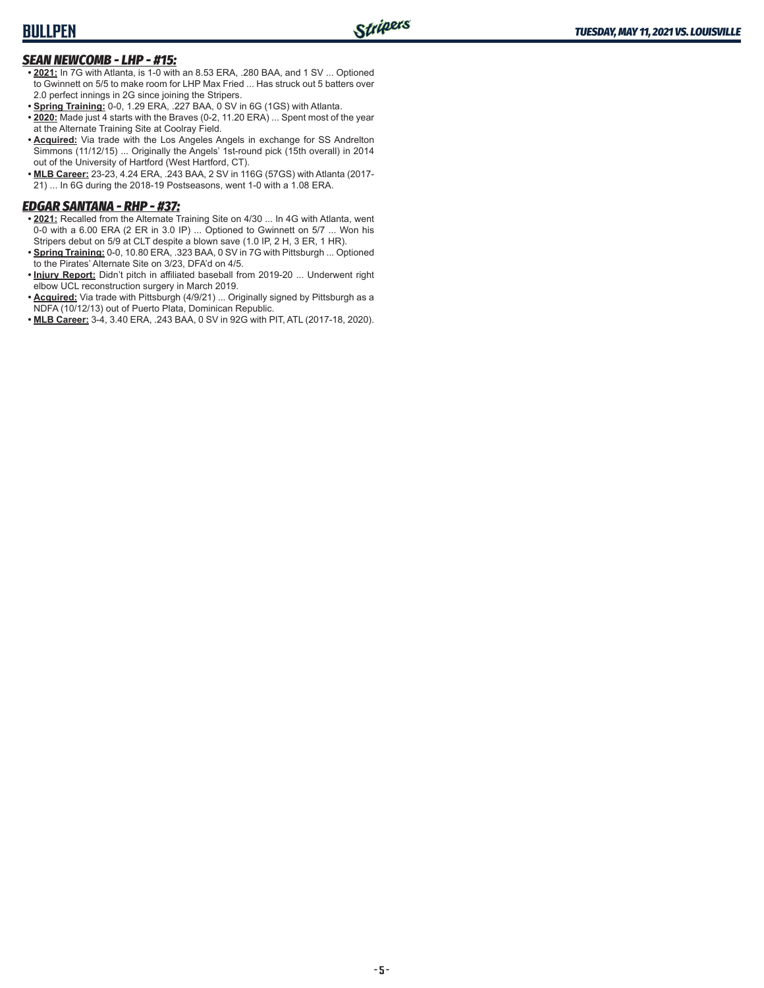#### *SEAN NEWCOMB - LHP - #15:*

- **• 2021:** In 7G with Atlanta, is 1-0 with an 8.53 ERA, .280 BAA, and 1 SV ... Optioned to Gwinnett on 5/5 to make room for LHP Max Fried ... Has struck out 5 batters over 2.0 perfect innings in 2G since joining the Stripers.
- **• Spring Training:** 0-0, 1.29 ERA, .227 BAA, 0 SV in 6G (1GS) with Atlanta.
- **• 2020:** Made just 4 starts with the Braves (0-2, 11.20 ERA) ... Spent most of the year at the Alternate Training Site at Coolray Field.
- **• Acquired:** Via trade with the Los Angeles Angels in exchange for SS Andrelton Simmons (11/12/15) ... Originally the Angels' 1st-round pick (15th overall) in 2014 out of the University of Hartford (West Hartford, CT).
- **• MLB Career:** 23-23, 4.24 ERA, .243 BAA, 2 SV in 116G (57GS) with Atlanta (2017- 21) ... In 6G during the 2018-19 Postseasons, went 1-0 with a 1.08 ERA.

#### *EDGAR SANTANA - RHP - #37:*

- **• 2021:** Recalled from the Alternate Training Site on 4/30 ... In 4G with Atlanta, went 0-0 with a 6.00 ERA (2 ER in 3.0 IP) ... Optioned to Gwinnett on 5/7 ... Won his Stripers debut on 5/9 at CLT despite a blown save (1.0 IP, 2 H, 3 ER, 1 HR).
- **• Spring Training:** 0-0, 10.80 ERA, .323 BAA, 0 SV in 7G with Pittsburgh ... Optioned to the Pirates' Alternate Site on 3/23, DFA'd on 4/5.
- **• Injury Report:** Didn't pitch in affiliated baseball from 2019-20 ... Underwent right elbow UCL reconstruction surgery in March 2019.
- **• Acquired:** Via trade with Pittsburgh (4/9/21) ... Originally signed by Pittsburgh as a NDFA (10/12/13) out of Puerto Plata, Dominican Republic.
- **• MLB Career:** 3-4, 3.40 ERA, .243 BAA, 0 SV in 92G with PIT, ATL (2017-18, 2020).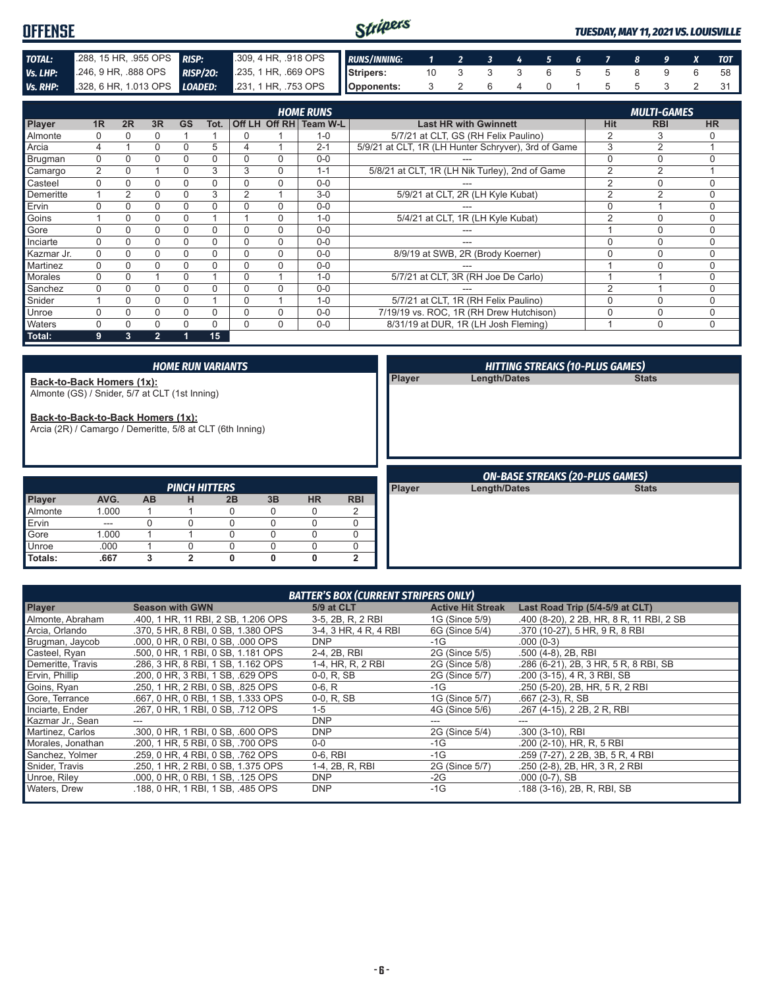| <b>OFFENSE</b> |                                |                                                                             | Stripers |                   |  |  |  |  | TUESDAY, MAY 11, 2021 VS. LOUISVILLE |
|----------------|--------------------------------|-----------------------------------------------------------------------------|----------|-------------------|--|--|--|--|--------------------------------------|
| TOTAL:         | $288, 15$ HR, $.955$ OPS RISP: | 309,4 HR, 918 OPS RUNS/INNING: 1 2 3 4 5 6 7 8 9 X TOT                      |          |                   |  |  |  |  |                                      |
| Vs. LHP:       |                                | 246, 9 HR, 888 OPS RISP/20: 235, 1 HR, 669 OPS Stripers: 10 3 3 3 6 5 5 8 9 |          |                   |  |  |  |  |                                      |
|                |                                | Vs. RHP: 328, 6 HR, 1.013 OPS LOADED: 231, 1 HR, .753 OPS Opponents:        |          | 3 2 6 4 0 1 5 5 3 |  |  |  |  |                                      |

|                |                |          |              |           |      |          |          | <b>HOME RUNS</b> |                                                     |                | <b>MULTI-GAMES</b> |             |
|----------------|----------------|----------|--------------|-----------|------|----------|----------|------------------|-----------------------------------------------------|----------------|--------------------|-------------|
| Player         | 1 <sub>R</sub> | 2R       | 3R           | <b>GS</b> | Tot. | Off LH   |          | Off RH Team W-L  | <b>Last HR with Gwinnett</b>                        | <b>Hit</b>     | <b>RBI</b>         | <b>HR</b>   |
| Almonte        |                |          |              |           |      | 0        |          | $1 - 0$          | 5/7/21 at CLT, GS (RH Felix Paulino)                | $\overline{2}$ | 3                  |             |
| Arcia          |                |          |              |           | 5    | 4        |          | $2 - 1$          | 5/9/21 at CLT, 1R (LH Hunter Schryver), 3rd of Game | 3              | $\mathfrak{p}$     |             |
| Brugman        | 0              |          |              |           | 0    | 0        | $\Omega$ | $0 - 0$          |                                                     | 0              | $\Omega$           | $\Omega$    |
| Camargo        | $\overline{2}$ |          |              | $\Omega$  | 3    | 3        | $\Omega$ | $1 - 1$          | 5/8/21 at CLT, 1R (LH Nik Turley), 2nd of Game      | $\overline{2}$ | $\overline{2}$     |             |
| Casteel        | $\Omega$       |          |              |           | 0    | 0        | $\Omega$ | $0 - 0$          |                                                     | 2              | 0                  | $\Omega$    |
| Demeritte      |                |          | 0            |           | 3    | 2        |          | $3-0$            | 5/9/21 at CLT, 2R (LH Kyle Kubat)                   | 2              | $\overline{2}$     | $\Omega$    |
| Ervin          |                |          |              |           |      | 0        | $\Omega$ | $0 - 0$          |                                                     |                |                    | $\mathbf 0$ |
| Goins          |                |          |              |           |      |          | 0        | $1 - 0$          | 5/4/21 at CLT, 1R (LH Kyle Kubat)                   | $\overline{2}$ | $\Omega$           | 0           |
| Gore           | 0              |          | 0            |           | 0    | 0        | 0        | $0 - 0$          |                                                     |                | $\Omega$           | $\Omega$    |
| Inciarte       | $\Omega$       | n        | 0            | O         | 0    | $\Omega$ | $\Omega$ | $0 - 0$          | ---                                                 | O              | $\Omega$           | $\Omega$    |
| Kazmar Jr.     | 0              | 0        | 0            | 0         | 0    | 0        | 0        | $0 - 0$          | 8/9/19 at SWB, 2R (Brody Koerner)                   | 0              | $\mathbf 0$        | $\Omega$    |
| Martinez       | 0              |          |              |           | 0    | 0        | 0        | $0 - 0$          |                                                     |                |                    | $\Omega$    |
| <b>Morales</b> | 0              |          |              |           |      | $\Omega$ |          | $1 - 0$          | 5/7/21 at CLT, 3R (RH Joe De Carlo)                 |                |                    | 0           |
| Sanchez        | 0              |          | 0            |           | 0    | 0        | $\Omega$ | $0 - 0$          |                                                     | $\overline{2}$ |                    | $\Omega$    |
| Snider         |                | $\Omega$ |              |           |      | $\Omega$ |          | $1 - 0$          | 5/7/21 at CLT, 1R (RH Felix Paulino)                | O              | $\Omega$           | $\Omega$    |
| Unroe          | O              |          | 0            | $\Omega$  | 0    | $\Omega$ | $\Omega$ | $0 - 0$          | 7/19/19 vs. ROC, 1R (RH Drew Hutchison)             | 0              | $\Omega$           | $\Omega$    |
| Waters         | U              |          |              |           | 0    | $\Omega$ | $\Omega$ | $0 - 0$          | 8/31/19 at DUR, 1R (LH Josh Fleming)                |                | $\mathbf 0$        | $\mathbf 0$ |
| Total:         | 9              | 3        | $\mathbf{2}$ |           | 15   |          |          |                  |                                                     |                |                    |             |

|                   |                                                                                                |           |                           | <b>HOME RUN VARIANTS</b> |          |             |                |        | <b>HITTING STREAKS (10-PLUS GAMES)</b> |              |
|-------------------|------------------------------------------------------------------------------------------------|-----------|---------------------------|--------------------------|----------|-------------|----------------|--------|----------------------------------------|--------------|
|                   | Back-to-Back Homers (1x):<br>Almonte (GS) / Snider, 5/7 at CLT (1st Inning)                    |           |                           |                          |          |             |                | Player | Length/Dates                           | <b>Stats</b> |
|                   | Back-to-Back-to-Back Homers (1x):<br>Arcia (2R) / Camargo / Demeritte, 5/8 at CLT (6th Inning) |           |                           |                          |          |             |                |        |                                        |              |
|                   |                                                                                                |           |                           |                          |          |             |                |        |                                        |              |
|                   |                                                                                                |           |                           |                          |          |             |                |        | <b>ON-BASE STREAKS (20-PLUS GAMES)</b> |              |
|                   | AVG.                                                                                           | <b>AB</b> | <b>PINCH HITTERS</b><br>н | 2B                       | 3B       | <b>HR</b>   | <b>RBI</b>     | Player | Length/Dates                           | <b>Stats</b> |
| Player<br>Almonte | 1.000                                                                                          |           |                           | $\Omega$                 | 0        | $\mathbf 0$ | 2              |        |                                        |              |
| Ervin             | ---                                                                                            |           |                           | $\Omega$                 | 0        | $\Omega$    | $\Omega$       |        |                                        |              |
| Gore              | 1.000                                                                                          |           |                           | $\Omega$                 | $\Omega$ | $\mathbf 0$ | 0              |        |                                        |              |
| <b>Unroe</b>      | .000                                                                                           |           | 0                         | $\Omega$                 | 0        | $\mathbf 0$ | $\Omega$       |        |                                        |              |
| Totals:           | .667                                                                                           | 3         | $\overline{2}$            | $\mathbf{0}$             | 0        | 0           | $\overline{2}$ |        |                                        |              |

|                   |                                     | <b>BATTER'S BOX (CURRENT STRIPERS ONLY)</b> |                          |                                          |
|-------------------|-------------------------------------|---------------------------------------------|--------------------------|------------------------------------------|
| <b>Player</b>     | <b>Season with GWN</b>              | 5/9 at CLT                                  | <b>Active Hit Streak</b> | Last Road Trip (5/4-5/9 at CLT)          |
| Almonte, Abraham  | .400, 1 HR, 11 RBI, 2 SB, 1.206 OPS | 3-5, 2B, R, 2 RBI                           | 1G (Since 5/9)           | .400 (8-20), 2 2B, HR, 8 R, 11 RBI, 2 SB |
| Arcia, Orlando    | .370, 5 HR, 8 RBI, 0 SB, 1.380 OPS  | 3-4, 3 HR, 4 R, 4 RBI                       | 6G (Since 5/4)           | .370 (10-27), 5 HR, 9 R, 8 RBI           |
| Brugman, Jaycob   | .000, 0 HR, 0 RBI, 0 SB, .000 OPS   | <b>DNP</b>                                  | $-1G$                    | $.000(0-3)$                              |
| Casteel, Ryan     | .500, 0 HR, 1 RBI, 0 SB, 1.181 OPS  | 2-4, 2B, RBI                                | 2G (Since 5/5)           | .500 (4-8), 2B, RBI                      |
| Demeritte, Travis | .286, 3 HR, 8 RBI, 1 SB, 1.162 OPS  | 1-4, HR, R, 2 RBI                           | 2G (Since 5/8)           | .286 (6-21), 2B, 3 HR, 5 R, 8 RBI, SB    |
| Ervin, Phillip    | .200, 0 HR, 3 RBI, 1 SB, .629 OPS   | $0-0, R, SB$                                | 2G (Since 5/7)           | .200 (3-15), 4 R, 3 RBI, SB              |
| Goins, Ryan       | .250, 1 HR, 2 RBI, 0 SB, .825 OPS   | $0-6, R$                                    | -1G                      | .250 (5-20), 2B, HR, 5 R, 2 RBI          |
| Gore, Terrance    | .667, 0 HR, 0 RBI, 1 SB, 1.333 OPS  | $0-0, R, SB$                                | 1G (Since 5/7)           | $.667(2-3)$ , R, SB                      |
| Inciarte, Ender   | .267, 0 HR, 1 RBI, 0 SB, .712 OPS   | $1 - 5$                                     | 4G (Since 5/6)           | .267 (4-15), 2 2B, 2 R, RBI              |
| Kazmar Jr., Sean  |                                     | <b>DNP</b>                                  |                          |                                          |
| Martinez, Carlos  | .300, 0 HR, 1 RBI, 0 SB, .600 OPS   | <b>DNP</b>                                  | 2G (Since 5/4)           | .300 (3-10), RBI                         |
| Morales, Jonathan | .200, 1 HR, 5 RBI, 0 SB, .700 OPS   | $0-0$                                       | $-1G$                    | .200 (2-10), HR, R, 5 RBI                |
| Sanchez, Yolmer   | .259, 0 HR, 4 RBI, 0 SB, .762 OPS   | 0-6, RBI                                    | $-1G$                    | .259 (7-27), 2 2B, 3B, 5 R, 4 RBI        |
| Snider, Travis    | .250, 1 HR, 2 RBI, 0 SB, 1.375 OPS  | 1-4, 2B, R, RBI                             | 2G (Since 5/7)           | .250 (2-8), 2B, HR, 3 R, 2 RBI           |
| Unroe, Riley      | .000, 0 HR, 0 RBI, 1 SB, .125 OPS   | <b>DNP</b>                                  | $-2G$                    | $.000(0-7)$ , SB                         |
| Waters, Drew      | .188, 0 HR, 1 RBI, 1 SB, .485 OPS   | <b>DNP</b>                                  | $-1G$                    | .188 (3-16), 2B, R, RBI, SB              |
|                   |                                     |                                             |                          |                                          |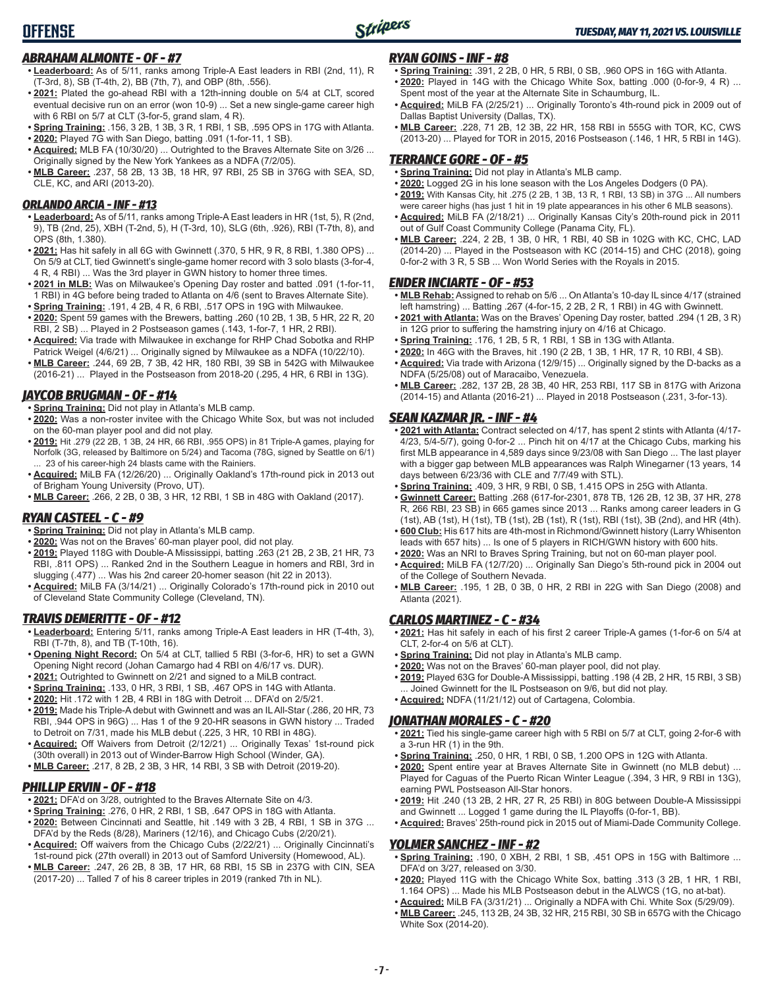

#### *ABRAHAM ALMONTE - OF - #7*

- **• Leaderboard:** As of 5/11, ranks among Triple-A East leaders in RBI (2nd, 11), R (T-3rd, 8), SB (T-4th, 2), BB (7th, 7), and OBP (8th, .556).
- **• 2021:** Plated the go-ahead RBI with a 12th-inning double on 5/4 at CLT, scored eventual decisive run on an error (won 10-9) ... Set a new single-game career high with 6 RBI on 5/7 at CLT (3-for-5, grand slam, 4 R).
- **• Spring Training:** .156, 3 2B, 1 3B, 3 R, 1 RBI, 1 SB, .595 OPS in 17G with Atlanta.
- **• 2020:** Played 7G with San Diego, batting .091 (1-for-11, 1 SB).
- **• Acquired:** MLB FA (10/30/20) ... Outrighted to the Braves Alternate Site on 3/26 ... Originally signed by the New York Yankees as a NDFA (7/2/05).
- **• MLB Career:** .237, 58 2B, 13 3B, 18 HR, 97 RBI, 25 SB in 376G with SEA, SD, CLE, KC, and ARI (2013-20).

#### *ORLANDO ARCIA - INF - #13*

- **• Leaderboard:** As of 5/11, ranks among Triple-A East leaders in HR (1st, 5), R (2nd, 9), TB (2nd, 25), XBH (T-2nd, 5), H (T-3rd, 10), SLG (6th, .926), RBI (T-7th, 8), and OPS (8th, 1.380).
- **• 2021:** Has hit safely in all 6G with Gwinnett (.370, 5 HR, 9 R, 8 RBI, 1.380 OPS) ... On 5/9 at CLT, tied Gwinnett's single-game homer record with 3 solo blasts (3-for-4, 4 R, 4 RBI) ... Was the 3rd player in GWN history to homer three times.
- **• 2021 in MLB:** Was on Milwaukee's Opening Day roster and batted .091 (1-for-11, 1 RBI) in 4G before being traded to Atlanta on 4/6 (sent to Braves Alternate Site). **• Spring Training:** .191, 4 2B, 4 R, 6 RBI, .517 OPS in 19G with Milwaukee.
- **• 2020:** Spent 59 games with the Brewers, batting .260 (10 2B, 1 3B, 5 HR, 22 R, 20 RBI, 2 SB) ... Played in 2 Postseason games (.143, 1-for-7, 1 HR, 2 RBI).
- **• Acquired:** Via trade with Milwaukee in exchange for RHP Chad Sobotka and RHP Patrick Weigel (4/6/21) ... Originally signed by Milwaukee as a NDFA (10/22/10).
- **• MLB Career:** .244, 69 2B, 7 3B, 42 HR, 180 RBI, 39 SB in 542G with Milwaukee (2016-21) ... Played in the Postseason from 2018-20 (.295, 4 HR, 6 RBI in 13G).

#### *JAYCOB BRUGMAN - OF - #14*

- **• Spring Training:** Did not play in Atlanta's MLB camp.
- **• 2020:** Was a non-roster invitee with the Chicago White Sox, but was not included on the 60-man player pool and did not play.
- **• 2019:** Hit .279 (22 2B, 1 3B, 24 HR, 66 RBI, .955 OPS) in 81 Triple-A games, playing for Norfolk (3G, released by Baltimore on 5/24) and Tacoma (78G, signed by Seattle on 6/1) ... 23 of his career-high 24 blasts came with the Rainiers.
- **• Acquired:** MiLB FA (12/26/20) ... Originally Oakland's 17th-round pick in 2013 out of Brigham Young University (Provo, UT).
- **• MLB Career:** .266, 2 2B, 0 3B, 3 HR, 12 RBI, 1 SB in 48G with Oakland (2017).

#### *RYAN CASTEEL - C - #9*

- **• Spring Training:** Did not play in Atlanta's MLB camp.
- **• 2020:** Was not on the Braves' 60-man player pool, did not play.
- **• 2019:** Played 118G with Double-A Mississippi, batting .263 (21 2B, 2 3B, 21 HR, 73 RBI, .811 OPS) ... Ranked 2nd in the Southern League in homers and RBI, 3rd in slugging (.477) ... Was his 2nd career 20-homer season (hit 22 in 2013).
- **• Acquired:** MiLB FA (3/14/21) ... Originally Colorado's 17th-round pick in 2010 out of Cleveland State Community College (Cleveland, TN).

#### *TRAVIS DEMERITTE - OF - #12*

- **• Leaderboard:** Entering 5/11, ranks among Triple-A East leaders in HR (T-4th, 3), RBI (T-7th, 8), and TB (T-10th, 16).
- **• Opening Night Record:** On 5/4 at CLT, tallied 5 RBI (3-for-6, HR) to set a GWN Opening Night record (Johan Camargo had 4 RBI on 4/6/17 vs. DUR).
- **• 2021:** Outrighted to Gwinnett on 2/21 and signed to a MiLB contract.
- **• Spring Training:** .133, 0 HR, 3 RBI, 1 SB, .467 OPS in 14G with Atlanta.
- **• 2020:** Hit .172 with 1 2B, 4 RBI in 18G with Detroit ... DFA'd on 2/5/21.
- **• 2019:** Made his Triple-A debut with Gwinnett and was an IL All-Star (.286, 20 HR, 73 RBI, .944 OPS in 96G) ... Has 1 of the 9 20-HR seasons in GWN history ... Traded to Detroit on 7/31, made his MLB debut (.225, 3 HR, 10 RBI in 48G).
- **• Acquired:** Off Waivers from Detroit (2/12/21) ... Originally Texas' 1st-round pick (30th overall) in 2013 out of Winder-Barrow High School (Winder, GA).
- **• MLB Career:** .217, 8 2B, 2 3B, 3 HR, 14 RBI, 3 SB with Detroit (2019-20).

#### *PHILLIP ERVIN - OF - #18*

- **• 2021:** DFA'd on 3/28, outrighted to the Braves Alternate Site on 4/3.
- **• Spring Training:** .276, 0 HR, 2 RBI, 1 SB, .647 OPS in 18G with Atlanta. **• 2020:** Between Cincinnati and Seattle, hit .149 with 3 2B, 4 RBI, 1 SB in 37G ...
- DFA'd by the Reds (8/28), Mariners (12/16), and Chicago Cubs (2/20/21). **• Acquired:** Off waivers from the Chicago Cubs (2/22/21) ... Originally Cincinnati's
- 1st-round pick (27th overall) in 2013 out of Samford University (Homewood, AL). **• MLB Career:** .247, 26 2B, 8 3B, 17 HR, 68 RBI, 15 SB in 237G with CIN, SEA
- (2017-20) ... Talled 7 of his 8 career triples in 2019 (ranked 7th in NL).

#### *RYAN GOINS - INF - #8*

- **• Spring Training:** .391, 2 2B, 0 HR, 5 RBI, 0 SB, .960 OPS in 16G with Atlanta. **• 2020:** Played in 14G with the Chicago White Sox, batting .000 (0-for-9, 4 R) ... Spent most of the year at the Alternate Site in Schaumburg, IL.
- **• Acquired:** MiLB FA (2/25/21) ... Originally Toronto's 4th-round pick in 2009 out of Dallas Baptist University (Dallas, TX).
- **• MLB Career:** .228, 71 2B, 12 3B, 22 HR, 158 RBI in 555G with TOR, KC, CWS (2013-20) ... Played for TOR in 2015, 2016 Postseason (.146, 1 HR, 5 RBI in 14G).

#### *TERRANCE GORE - OF - #5*

- **• Spring Training:** Did not play in Atlanta's MLB camp.
- **• 2020:** Logged 2G in his lone season with the Los Angeles Dodgers (0 PA).
- **• 2019:** With Kansas City, hit .275 (2 2B, 1 3B, 13 R, 1 RBI, 13 SB) in 37G ... All numbers were career highs (has just 1 hit in 19 plate appearances in his other 6 MLB seasons).
- **• Acquired:** MiLB FA (2/18/21) ... Originally Kansas City's 20th-round pick in 2011 out of Gulf Coast Community College (Panama City, FL).
- **• MLB Career:** .224, 2 2B, 1 3B, 0 HR, 1 RBI, 40 SB in 102G with KC, CHC, LAD (2014-20) ... Played in the Postseason with KC (2014-15) and CHC (2018), going 0-for-2 with 3 R, 5 SB ... Won World Series with the Royals in 2015.

#### *ENDER INCIARTE - OF - #53*

- **• MLB Rehab:** Assigned to rehab on 5/6 ... On Atlanta's 10-day IL since 4/17 (strained left hamstring) ... Batting .267 (4-for-15, 2 2B, 2 R, 1 RBI) in 4G with Gwinnett.
- **• 2021 with Atlanta:** Was on the Braves' Opening Day roster, batted .294 (1 2B, 3 R) in 12G prior to suffering the hamstring injury on 4/16 at Chicago.
- **• Spring Training:** .176, 1 2B, 5 R, 1 RBI, 1 SB in 13G with Atlanta.
- **• 2020:** In 46G with the Braves, hit .190 (2 2B, 1 3B, 1 HR, 17 R, 10 RBI, 4 SB).
- **• Acquired:** Via trade with Arizona (12/9/15) ... Originally signed by the D-backs as a NDFA (5/25/08) out of Maracaibo, Venezuela.
- **• MLB Career:** .282, 137 2B, 28 3B, 40 HR, 253 RBI, 117 SB in 817G with Arizona (2014-15) and Atlanta (2016-21) ... Played in 2018 Postseason (.231, 3-for-13).

#### *SEAN KAZMAR JR. - INF - #4*

- **• 2021 with Atlanta:** Contract selected on 4/17, has spent 2 stints with Atlanta (4/17- 4/23, 5/4-5/7), going 0-for-2 ... Pinch hit on 4/17 at the Chicago Cubs, marking his first MLB appearance in 4,589 days since 9/23/08 with San Diego ... The last player with a bigger gap between MLB appearances was Ralph Winegarner (13 years, 14 days between 6/23/36 with CLE and 7/7/49 with STL).
- **• Spring Training:** .409, 3 HR, 9 RBI, 0 SB, 1.415 OPS in 25G with Atlanta.
- **• Gwinnett Career:** Batting .268 (617-for-2301, 878 TB, 126 2B, 12 3B, 37 HR, 278 R, 266 RBI, 23 SB) in 665 games since 2013 ... Ranks among career leaders in G (1st), AB (1st), H (1st), TB (1st), 2B (1st), R (1st), RBI (1st), 3B (2nd), and HR (4th).
- **• 600 Club:** His 617 hits are 4th-most in Richmond/Gwinnett history (Larry Whisenton leads with 657 hits) ... Is one of 5 players in RICH/GWN history with 600 hits.
- **• 2020:** Was an NRI to Braves Spring Training, but not on 60-man player pool.
- **• Acquired:** MiLB FA (12/7/20) ... Originally San Diego's 5th-round pick in 2004 out of the College of Southern Nevada.
- **• MLB Career:** .195, 1 2B, 0 3B, 0 HR, 2 RBI in 22G with San Diego (2008) and Atlanta (2021).

#### *CARLOS MARTINEZ - C - #34*

- **• 2021:** Has hit safely in each of his first 2 career Triple-A games (1-for-6 on 5/4 at  $CIT$ , 2-for-4 on 5/6 at  $CIT$ ).
- **• Spring Training:** Did not play in Atlanta's MLB camp.
- **• 2020:** Was not on the Braves' 60-man player pool, did not play.
- **• 2019:** Played 63G for Double-A Mississippi, batting .198 (4 2B, 2 HR, 15 RBI, 3 SB) ... Joined Gwinnett for the IL Postseason on 9/6, but did not play.
- **• Acquired:** NDFA (11/21/12) out of Cartagena, Colombia.

#### *JONATHAN MORALES - C - #20*

- **• 2021:** Tied his single-game career high with 5 RBI on 5/7 at CLT, going 2-for-6 with a 3-run HR (1) in the 9th.
- **• Spring Training:** .250, 0 HR, 1 RBI, 0 SB, 1.200 OPS in 12G with Atlanta.
- **• 2020:** Spent entire year at Braves Alternate Site in Gwinnett (no MLB debut) ... Played for Caguas of the Puerto Rican Winter League (.394, 3 HR, 9 RBI in 13G), earning PWL Postseason All-Star honors.
- **• 2019:** Hit .240 (13 2B, 2 HR, 27 R, 25 RBI) in 80G between Double-A Mississippi and Gwinnett ... Logged 1 game during the IL Playoffs (0-for-1, BB).

### **• Acquired:** Braves' 25th-round pick in 2015 out of Miami-Dade Community College.

#### *YOLMER SANCHEZ - INF - #2*

- **• Spring Training:** .190, 0 XBH, 2 RBI, 1 SB, .451 OPS in 15G with Baltimore ... DFA'd on 3/27, released on 3/30.
- **• 2020:** Played 11G with the Chicago White Sox, batting .313 (3 2B, 1 HR, 1 RBI, 1.164 OPS) ... Made his MLB Postseason debut in the ALWCS (1G, no at-bat).
- **• Acquired:** MiLB FA (3/31/21) ... Originally a NDFA with Chi. White Sox (5/29/09).
- **• MLB Career:** .245, 113 2B, 24 3B, 32 HR, 215 RBI, 30 SB in 657G with the Chicago White Sox (2014-20).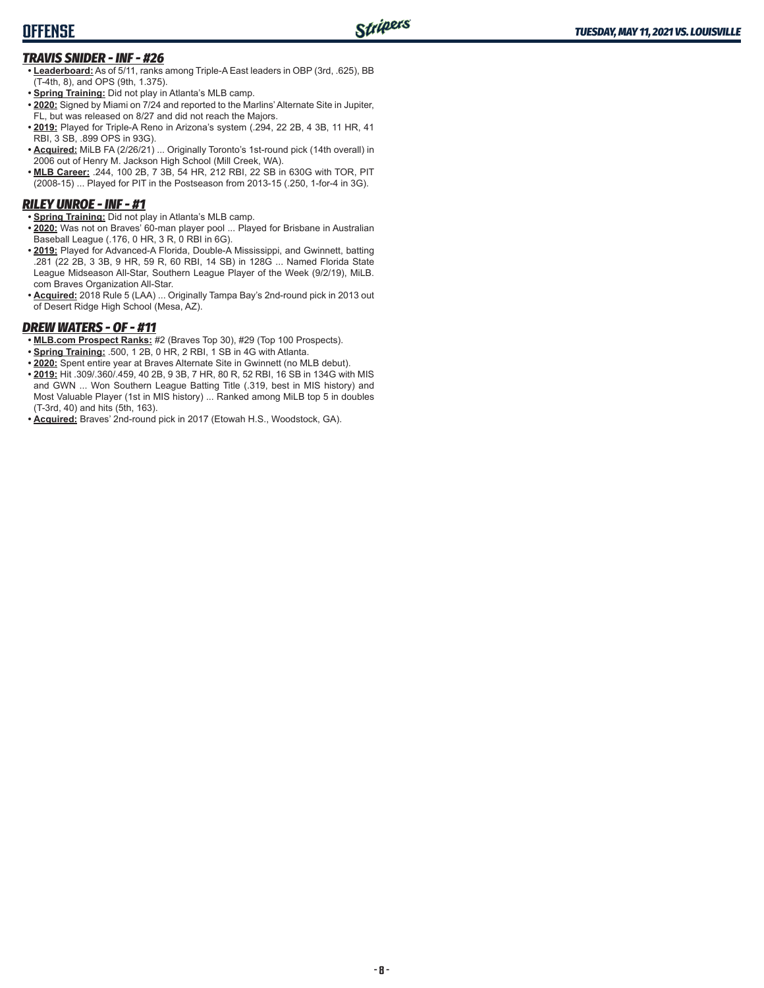### **OFFENSE**

### *TRAVIS SNIDER - INF - #26*

- **• Leaderboard:** As of 5/11, ranks among Triple-A East leaders in OBP (3rd, .625), BB (T-4th, 8), and OPS (9th, 1.375).
- **• Spring Training:** Did not play in Atlanta's MLB camp.
- **• 2020:** Signed by Miami on 7/24 and reported to the Marlins' Alternate Site in Jupiter, FL, but was released on 8/27 and did not reach the Majors.
- **• 2019:** Played for Triple-A Reno in Arizona's system (.294, 22 2B, 4 3B, 11 HR, 41 RBI, 3 SB, .899 OPS in 93G).
- **• Acquired:** MiLB FA (2/26/21) ... Originally Toronto's 1st-round pick (14th overall) in 2006 out of Henry M. Jackson High School (Mill Creek, WA).
- **• MLB Career:** .244, 100 2B, 7 3B, 54 HR, 212 RBI, 22 SB in 630G with TOR, PIT (2008-15) ... Played for PIT in the Postseason from 2013-15 (.250, 1-for-4 in 3G).

### *RILEY UNROE - INF - #1*

- **• Spring Training:** Did not play in Atlanta's MLB camp.
- **• 2020:** Was not on Braves' 60-man player pool ... Played for Brisbane in Australian Baseball League (.176, 0 HR, 3 R, 0 RBI in 6G).
- **• 2019:** Played for Advanced-A Florida, Double-A Mississippi, and Gwinnett, batting .281 (22 2B, 3 3B, 9 HR, 59 R, 60 RBI, 14 SB) in 128G ... Named Florida State League Midseason All-Star, Southern League Player of the Week (9/2/19), MiLB. com Braves Organization All-Star.
- **• Acquired:** 2018 Rule 5 (LAA) ... Originally Tampa Bay's 2nd-round pick in 2013 out of Desert Ridge High School (Mesa, AZ).

#### *DREW WATERS - OF - #11*

- **• MLB.com Prospect Ranks:** #2 (Braves Top 30), #29 (Top 100 Prospects).
- **• Spring Training:** .500, 1 2B, 0 HR, 2 RBI, 1 SB in 4G with Atlanta.
- **• 2020:** Spent entire year at Braves Alternate Site in Gwinnett (no MLB debut).
- **• 2019:** Hit .309/.360/.459, 40 2B, 9 3B, 7 HR, 80 R, 52 RBI, 16 SB in 134G with MIS and GWN ... Won Southern League Batting Title (.319, best in MIS history) and Most Valuable Player (1st in MIS history) ... Ranked among MiLB top 5 in doubles (T-3rd, 40) and hits (5th, 163).
- **• Acquired:** Braves' 2nd-round pick in 2017 (Etowah H.S., Woodstock, GA).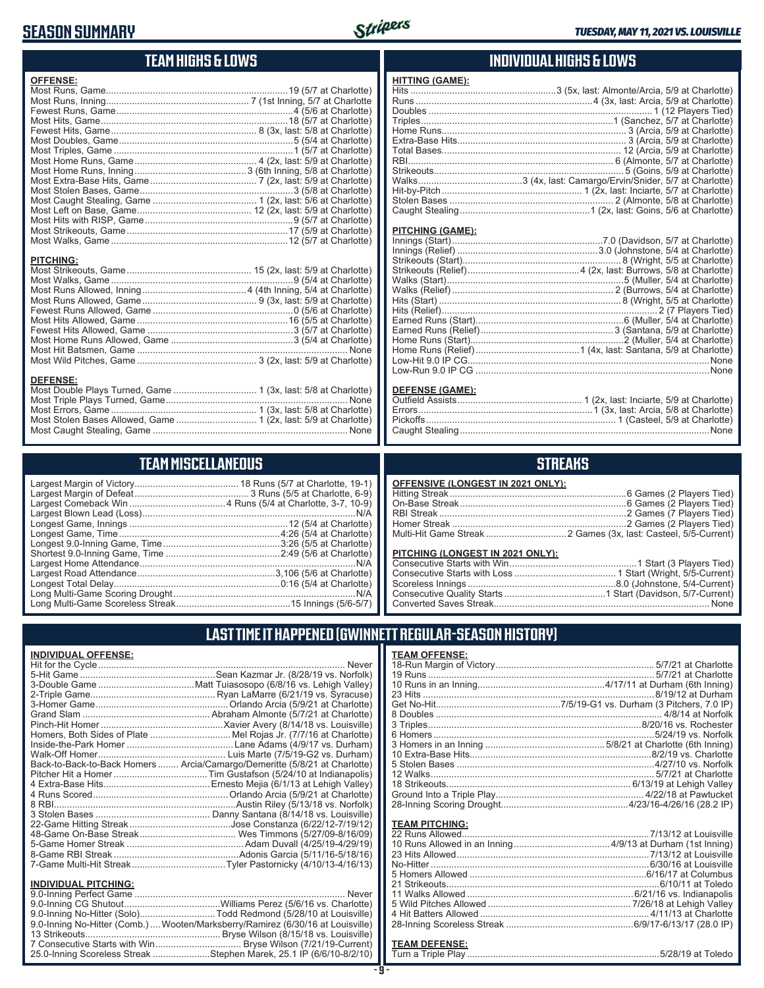### **SEASON SUMMARY**



### **TEAM HIGHS & LOWS**

| <b>OFFENSE:</b>                                                                   |  |
|-----------------------------------------------------------------------------------|--|
|                                                                                   |  |
|                                                                                   |  |
|                                                                                   |  |
|                                                                                   |  |
|                                                                                   |  |
|                                                                                   |  |
|                                                                                   |  |
|                                                                                   |  |
|                                                                                   |  |
|                                                                                   |  |
|                                                                                   |  |
|                                                                                   |  |
|                                                                                   |  |
|                                                                                   |  |
|                                                                                   |  |
|                                                                                   |  |
| <b>PITCHING:</b>                                                                  |  |
|                                                                                   |  |
| <b>DEFENSE:</b><br>Most Double Plays Turned, Game  1 (3x, last: 5/8 at Charlotte) |  |

### **TEAM MISCELLANEOUS**

Most Caught Stealing, Game ........................................................................... None

### **INDIVIDUAL HIGHS & LOWS**

| <b>HITTING (GAME):</b> |  |
|------------------------|--|
|                        |  |
|                        |  |
|                        |  |
|                        |  |
|                        |  |
|                        |  |
|                        |  |
|                        |  |
|                        |  |
|                        |  |
|                        |  |
|                        |  |
|                        |  |

#### **PITCHING (GAME):**

| <b>DEFENSE (GAME):</b> |  |
|------------------------|--|

#### **DEFENSE (GAME):** Outfield Assists................................................ 1 (2x, last: Inciarte, 5/9 at Charlotte) Errors...................................................................1 (3x, last: Arcia, 5/8 at Charlotte) Pickoffs......................................................................... 1 (Casteel, 5/9 at Charlotte) Caught Stealing ................................................................................................None

### **STREAKS**

| OFFENSIVE (LONGEST IN 2021 ONLY): |  |
|-----------------------------------|--|
|                                   |  |
|                                   |  |
|                                   |  |
|                                   |  |
|                                   |  |

#### **PITCHING (LONGEST IN 2021 ONLY):**

| <u>I II OHINO (LONOLO I IN 2021 ONE I J.</u> |  |
|----------------------------------------------|--|
|                                              |  |
|                                              |  |
|                                              |  |
|                                              |  |
|                                              |  |
|                                              |  |

## **LAST TIME IT HAPPENED (GWINNETT REGULAR-SEASON HISTORY)**

| <u>INDIVIDUAL OFFENSE:</u>                                                    |       |
|-------------------------------------------------------------------------------|-------|
|                                                                               |       |
|                                                                               |       |
|                                                                               |       |
|                                                                               |       |
|                                                                               |       |
|                                                                               |       |
|                                                                               |       |
| Homers, Both Sides of Plate Mel Rojas Jr. (7/7/16 at Charlotte)               |       |
|                                                                               |       |
|                                                                               |       |
| Back-to-Back-to-Back Homers  Arcia/Camargo/Demeritte (5/8/21 at Charlotte)    |       |
|                                                                               |       |
|                                                                               |       |
|                                                                               |       |
|                                                                               |       |
|                                                                               |       |
|                                                                               |       |
|                                                                               |       |
|                                                                               |       |
|                                                                               |       |
|                                                                               |       |
| <b>INDIVIDUAL PITCHING:</b>                                                   |       |
|                                                                               | Never |
|                                                                               |       |
| 9.0-Inning No-Hitter (Solo)Todd Redmond (5/28/10 at Louisville)               |       |
| 9.0-Inning No-Hitter (Comb.)Wooten/Marksberry/Ramirez (6/30/16 at Louisville) |       |
|                                                                               |       |
|                                                                               |       |

25.0-Inning Scoreless Streak ......................Stephen Marek, 25.1 IP (6/6/10-8/2/10)

#### **TEAM PITCHING:**